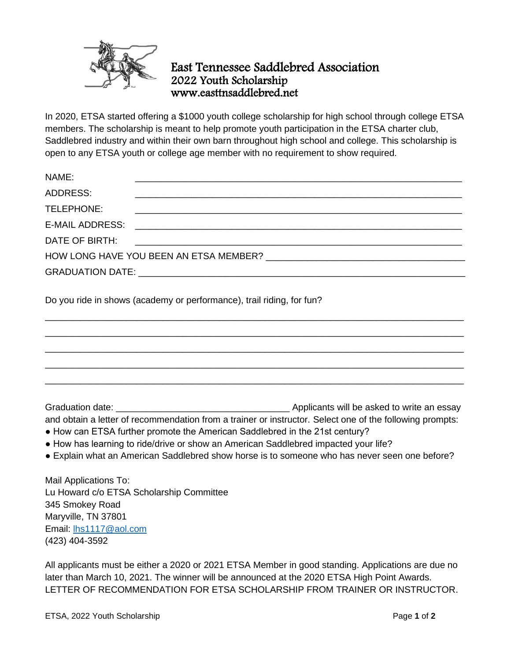

## East Tennessee Saddlebred Association 2022 Youth Scholarship www.easttnsaddlebred.net

In 2020, ETSA started offering a \$1000 youth college scholarship for high school through college ETSA members. The scholarship is meant to help promote youth participation in the ETSA charter club, Saddlebred industry and within their own barn throughout high school and college. This scholarship is open to any ETSA youth or college age member with no requirement to show required.

| NAME:                                                                                                |  |                                                                |
|------------------------------------------------------------------------------------------------------|--|----------------------------------------------------------------|
| ADDRESS:                                                                                             |  |                                                                |
| TELEPHONE:                                                                                           |  |                                                                |
| E-MAIL ADDRESS:                                                                                      |  |                                                                |
| DATE OF BIRTH:                                                                                       |  | <u> 1989 - Andrea Barbara, Amerikaansk politiker (d. 1989)</u> |
| HOW LONG HAVE YOU BEEN AN ETSA MEMBER? [19] THE CONGRESS AND MEMBER 2 [19] THE CONGRESS AND MEMBER 2 |  |                                                                |
|                                                                                                      |  |                                                                |

\_\_\_\_\_\_\_\_\_\_\_\_\_\_\_\_\_\_\_\_\_\_\_\_\_\_\_\_\_\_\_\_\_\_\_\_\_\_\_\_\_\_\_\_\_\_\_\_\_\_\_\_\_\_\_\_\_\_\_\_\_\_\_\_\_\_\_\_\_\_\_\_\_\_\_\_\_\_\_\_\_\_ \_\_\_\_\_\_\_\_\_\_\_\_\_\_\_\_\_\_\_\_\_\_\_\_\_\_\_\_\_\_\_\_\_\_\_\_\_\_\_\_\_\_\_\_\_\_\_\_\_\_\_\_\_\_\_\_\_\_\_\_\_\_\_\_\_\_\_\_\_\_\_\_\_\_\_\_\_\_\_\_\_\_ \_\_\_\_\_\_\_\_\_\_\_\_\_\_\_\_\_\_\_\_\_\_\_\_\_\_\_\_\_\_\_\_\_\_\_\_\_\_\_\_\_\_\_\_\_\_\_\_\_\_\_\_\_\_\_\_\_\_\_\_\_\_\_\_\_\_\_\_\_\_\_\_\_\_\_\_\_\_\_\_\_\_ \_\_\_\_\_\_\_\_\_\_\_\_\_\_\_\_\_\_\_\_\_\_\_\_\_\_\_\_\_\_\_\_\_\_\_\_\_\_\_\_\_\_\_\_\_\_\_\_\_\_\_\_\_\_\_\_\_\_\_\_\_\_\_\_\_\_\_\_\_\_\_\_\_\_\_\_\_\_\_\_\_\_ \_\_\_\_\_\_\_\_\_\_\_\_\_\_\_\_\_\_\_\_\_\_\_\_\_\_\_\_\_\_\_\_\_\_\_\_\_\_\_\_\_\_\_\_\_\_\_\_\_\_\_\_\_\_\_\_\_\_\_\_\_\_\_\_\_\_\_\_\_\_\_\_\_\_\_\_\_\_\_\_\_\_

Do you ride in shows (academy or performance), trail riding, for fun?

Graduation date: \_\_\_\_\_\_\_\_\_\_\_\_\_\_\_\_\_\_\_\_\_\_\_\_\_\_\_\_\_\_\_\_\_\_ Applicants will be asked to write an essay and obtain a letter of recommendation from a trainer or instructor. Select one of the following prompts:

- How can ETSA further promote the American Saddlebred in the 21st century?
- How has learning to ride/drive or show an American Saddlebred impacted your life?
- Explain what an American Saddlebred show horse is to someone who has never seen one before?

Mail Applications To: Lu Howard c/o ETSA Scholarship Committee 345 Smokey Road Maryville, TN 37801 Email: [lhs1117@aol.com](mailto:lhs1117@aol.com) (423) 404-3592

All applicants must be either a 2020 or 2021 ETSA Member in good standing. Applications are due no later than March 10, 2021. The winner will be announced at the 2020 ETSA High Point Awards. LETTER OF RECOMMENDATION FOR ETSA SCHOLARSHIP FROM TRAINER OR INSTRUCTOR.